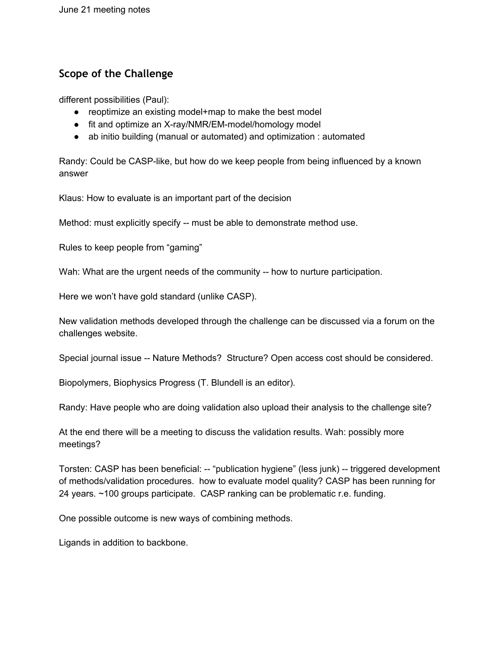## **Scope of the Challenge**

different possibilities (Paul):

- reoptimize an existing model+map to make the best model
- fit and optimize an X-ray/NMR/EM-model/homology model
- ab initio building (manual or automated) and optimization : automated

Randy: Could be CASP-like, but how do we keep people from being influenced by a known answer

Klaus: How to evaluate is an important part of the decision

Method: must explicitly specify -- must be able to demonstrate method use.

Rules to keep people from "gaming"

Wah: What are the urgent needs of the community -- how to nurture participation.

Here we won't have gold standard (unlike CASP).

New validation methods developed through the challenge can be discussed via a forum on the challenges website.

Special journal issue -- Nature Methods? Structure? Open access cost should be considered.

Biopolymers, Biophysics Progress (T. Blundell is an editor).

Randy: Have people who are doing validation also upload their analysis to the challenge site?

At the end there will be a meeting to discuss the validation results. Wah: possibly more meetings?

Torsten: CASP has been beneficial: -- "publication hygiene" (less junk) -- triggered development of methods/validation procedures. how to evaluate model quality? CASP has been running for 24 years. ~100 groups participate. CASP ranking can be problematic r.e. funding.

One possible outcome is new ways of combining methods.

Ligands in addition to backbone.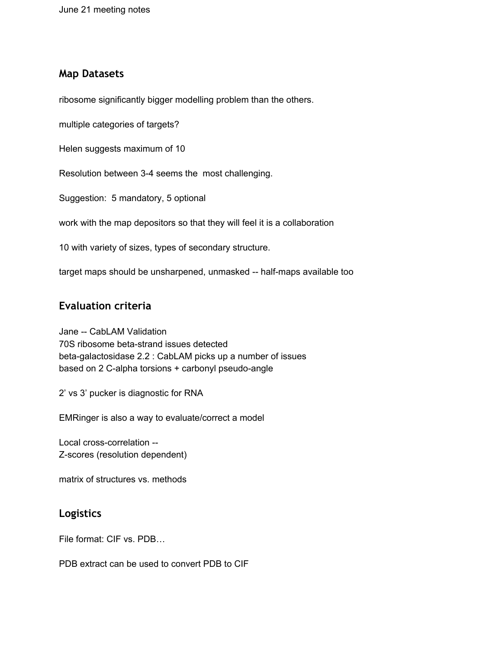## **Map Datasets**

ribosome significantly bigger modelling problem than the others.

multiple categories of targets?

Helen suggests maximum of 10

Resolution between 3-4 seems the most challenging.

Suggestion: 5 mandatory, 5 optional

work with the map depositors so that they will feel it is a collaboration

10 with variety of sizes, types of secondary structure.

target maps should be unsharpened, unmasked -- half-maps available too

## **Evaluation criteria**

Jane -- CabLAM Validation 70S ribosome beta-strand issues detected beta-galactosidase 2.2 : CabLAM picks up a number of issues based on 2 C-alpha torsions + carbonyl pseudo-angle

2' vs 3' pucker is diagnostic for RNA

EMRinger is also a way to evaluate/correct a model

Local cross-correlation -- Z-scores (resolution dependent)

matrix of structures vs. methods

## **Logistics**

File format: CIF vs. PDB…

PDB extract can be used to convert PDB to CIF